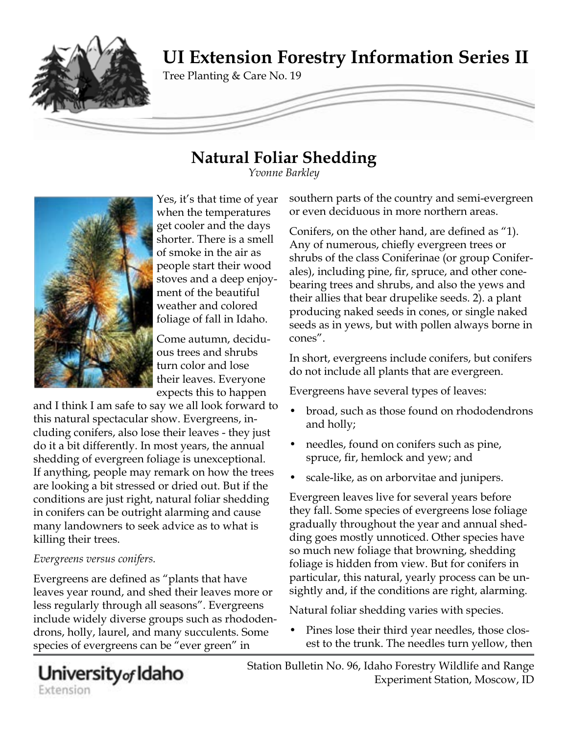

# **Natural Foliar Shedding**

*Yvonne Barkley*



Yes, it's that time of year when the temperatures get cooler and the days shorter. There is a smell of smoke in the air as people start their wood stoves and a deep enjoyment of the beautiful weather and colored foliage of fall in Idaho.

Come autumn, deciduous trees and shrubs turn color and lose their leaves. Everyone expects this to happen

and I think I am safe to say we all look forward to this natural spectacular show. Evergreens, including conifers, also lose their leaves - they just do it a bit differently. In most years, the annual shedding of evergreen foliage is unexceptional. If anything, people may remark on how the trees are looking a bit stressed or dried out. But if the conditions are just right, natural foliar shedding in conifers can be outright alarming and cause many landowners to seek advice as to what is killing their trees.

### *Evergreens versus conifers.*

Evergreens are defined as "plants that have leaves year round, and shed their leaves more or less regularly through all seasons". Evergreens include widely diverse groups such as rhododendrons, holly, laurel, and many succulents. Some species of evergreens can be "ever green" in

southern parts of the country and semi-evergreen or even deciduous in more northern areas.

Conifers, on the other hand, are defined as "1). Any of numerous, chiefly evergreen trees or shrubs of the class Coniferinae (or group Coniferales), including pine, fir, spruce, and other conebearing trees and shrubs, and also the yews and their allies that bear drupelike seeds. 2). a plant producing naked seeds in cones, or single naked seeds as in yews, but with pollen always borne in cones".

In short, evergreens include conifers, but conifers do not include all plants that are evergreen.

Evergreens have several types of leaves:

- broad, such as those found on rhododendrons and holly;
- needles, found on conifers such as pine, spruce, fir, hemlock and yew; and
- scale-like, as on arborvitae and junipers.

Evergreen leaves live for several years before they fall. Some species of evergreens lose foliage gradually throughout the year and annual shedding goes mostly unnoticed. Other species have so much new foliage that browning, shedding foliage is hidden from view. But for conifers in particular, this natural, yearly process can be unsightly and, if the conditions are right, alarming.

Natural foliar shedding varies with species.

• Pines lose their third year needles, those closest to the trunk. The needles turn yellow, then

Station Bulletin No. 96, Idaho Forestry Wildlife and Range Experiment Station, Moscow, ID

University<sub>of</sub> Idaho Extension